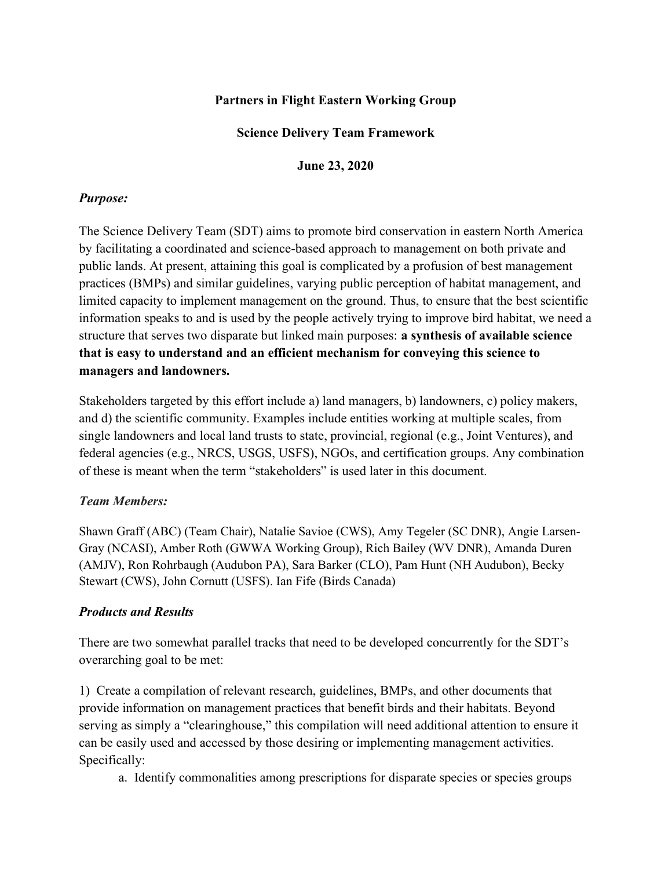## Partners in Flight Eastern Working Group

### Science Delivery Team Framework

June 23, 2020

#### Purpose:

The Science Delivery Team (SDT) aims to promote bird conservation in eastern North America by facilitating a coordinated and science-based approach to management on both private and public lands. At present, attaining this goal is complicated by a profusion of best management practices (BMPs) and similar guidelines, varying public perception of habitat management, and limited capacity to implement management on the ground. Thus, to ensure that the best scientific information speaks to and is used by the people actively trying to improve bird habitat, we need a structure that serves two disparate but linked main purposes: a synthesis of available science that is easy to understand and an efficient mechanism for conveying this science to managers and landowners.

Stakeholders targeted by this effort include a) land managers, b) landowners, c) policy makers, and d) the scientific community. Examples include entities working at multiple scales, from single landowners and local land trusts to state, provincial, regional (e.g., Joint Ventures), and federal agencies (e.g., NRCS, USGS, USFS), NGOs, and certification groups. Any combination of these is meant when the term "stakeholders" is used later in this document.

#### Team Members:

Shawn Graff (ABC) (Team Chair), Natalie Savioe (CWS), Amy Tegeler (SC DNR), Angie Larsen-Gray (NCASI), Amber Roth (GWWA Working Group), Rich Bailey (WV DNR), Amanda Duren (AMJV), Ron Rohrbaugh (Audubon PA), Sara Barker (CLO), Pam Hunt (NH Audubon), Becky Stewart (CWS), John Cornutt (USFS). Ian Fife (Birds Canada)

#### Products and Results

There are two somewhat parallel tracks that need to be developed concurrently for the SDT's overarching goal to be met:

1) Create a compilation of relevant research, guidelines, BMPs, and other documents that provide information on management practices that benefit birds and their habitats. Beyond serving as simply a "clearinghouse," this compilation will need additional attention to ensure it can be easily used and accessed by those desiring or implementing management activities. Specifically:

a. Identify commonalities among prescriptions for disparate species or species groups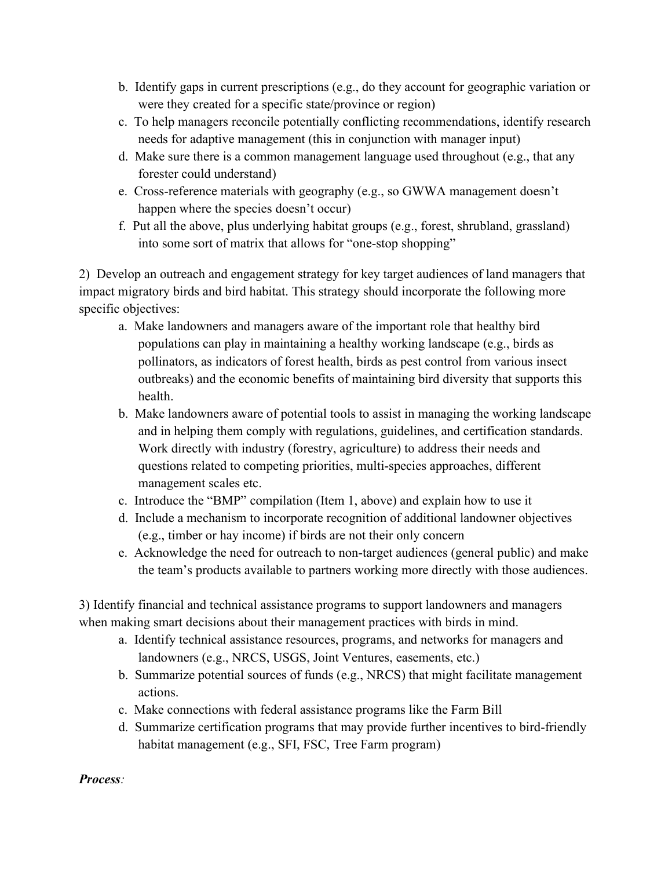- b. Identify gaps in current prescriptions (e.g., do they account for geographic variation or were they created for a specific state/province or region)
- c. To help managers reconcile potentially conflicting recommendations, identify research needs for adaptive management (this in conjunction with manager input)
- d. Make sure there is a common management language used throughout (e.g., that any forester could understand)
- e. Cross-reference materials with geography (e.g., so GWWA management doesn't happen where the species doesn't occur)
- f. Put all the above, plus underlying habitat groups (e.g., forest, shrubland, grassland) into some sort of matrix that allows for "one-stop shopping"

2) Develop an outreach and engagement strategy for key target audiences of land managers that impact migratory birds and bird habitat. This strategy should incorporate the following more specific objectives:

- a. Make landowners and managers aware of the important role that healthy bird populations can play in maintaining a healthy working landscape (e.g., birds as pollinators, as indicators of forest health, birds as pest control from various insect outbreaks) and the economic benefits of maintaining bird diversity that supports this health.
- b. Make landowners aware of potential tools to assist in managing the working landscape and in helping them comply with regulations, guidelines, and certification standards. Work directly with industry (forestry, agriculture) to address their needs and questions related to competing priorities, multi-species approaches, different management scales etc.
- c. Introduce the "BMP" compilation (Item 1, above) and explain how to use it
- d. Include a mechanism to incorporate recognition of additional landowner objectives (e.g., timber or hay income) if birds are not their only concern
- e. Acknowledge the need for outreach to non-target audiences (general public) and make the team's products available to partners working more directly with those audiences.

3) Identify financial and technical assistance programs to support landowners and managers when making smart decisions about their management practices with birds in mind.

- a. Identify technical assistance resources, programs, and networks for managers and landowners (e.g., NRCS, USGS, Joint Ventures, easements, etc.)
- b. Summarize potential sources of funds (e.g., NRCS) that might facilitate management actions.
- c. Make connections with federal assistance programs like the Farm Bill
- d. Summarize certification programs that may provide further incentives to bird-friendly habitat management (e.g., SFI, FSC, Tree Farm program)

Process: